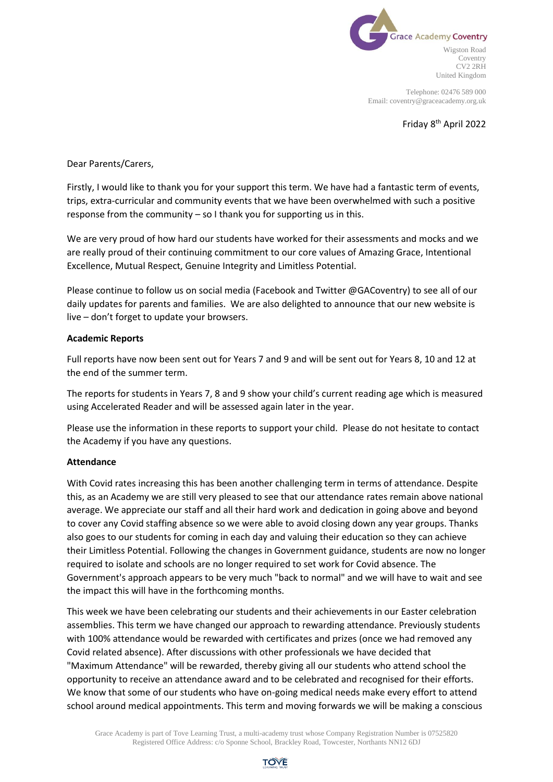

Telephone: 02476 589 000 Email: coventry@graceacademy.org.uk

Friday 8th April 2022

Dear Parents/Carers,

Firstly, I would like to thank you for your support this term. We have had a fantastic term of events, trips, extra-curricular and community events that we have been overwhelmed with such a positive response from the community – so I thank you for supporting us in this.

We are very proud of how hard our students have worked for their assessments and mocks and we are really proud of their continuing commitment to our core values of Amazing Grace, Intentional Excellence, Mutual Respect, Genuine Integrity and Limitless Potential.

Please continue to follow us on social media (Facebook and Twitter @GACoventry) to see all of our daily updates for parents and families. We are also delighted to announce that our new website is live – don't forget to update your browsers.

### **Academic Reports**

Full reports have now been sent out for Years 7 and 9 and will be sent out for Years 8, 10 and 12 at the end of the summer term.

The reports for students in Years 7, 8 and 9 show your child's current reading age which is measured using Accelerated Reader and will be assessed again later in the year.

Please use the information in these reports to support your child. Please do not hesitate to contact the Academy if you have any questions.

#### **Attendance**

With Covid rates increasing this has been another challenging term in terms of attendance. Despite this, as an Academy we are still very pleased to see that our attendance rates remain above national average. We appreciate our staff and all their hard work and dedication in going above and beyond to cover any Covid staffing absence so we were able to avoid closing down any year groups. Thanks also goes to our students for coming in each day and valuing their education so they can achieve their Limitless Potential. Following the changes in Government guidance, students are now no longer required to isolate and schools are no longer required to set work for Covid absence. The Government's approach appears to be very much "back to normal" and we will have to wait and see the impact this will have in the forthcoming months.

This week we have been celebrating our students and their achievements in our Easter celebration assemblies. This term we have changed our approach to rewarding attendance. Previously students with 100% attendance would be rewarded with certificates and prizes (once we had removed any Covid related absence). After discussions with other professionals we have decided that "Maximum Attendance" will be rewarded, thereby giving all our students who attend school the opportunity to receive an attendance award and to be celebrated and recognised for their efforts. We know that some of our students who have on-going medical needs make every effort to attend school around medical appointments. This term and moving forwards we will be making a conscious

Grace Academy is part of Tove Learning Trust, a multi-academy trust whose Company Registration Number is 07525820 Registered Office Address: c/o Sponne School, Brackley Road, Towcester, Northants NN12 6DJ

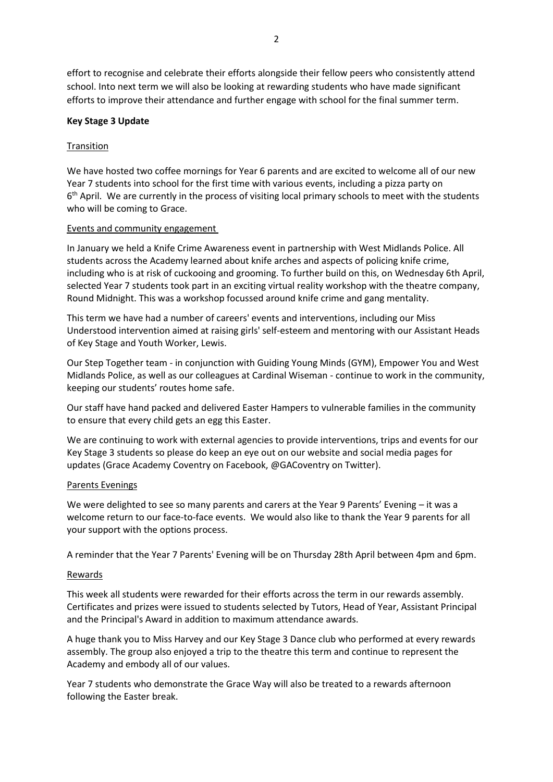effort to recognise and celebrate their efforts alongside their fellow peers who consistently attend school. Into next term we will also be looking at rewarding students who have made significant efforts to improve their attendance and further engage with school for the final summer term.

# **Key Stage 3 Update**

# **Transition**

We have hosted two coffee mornings for Year 6 parents and are excited to welcome all of our new Year 7 students into school for the first time with various events, including a pizza party on 6<sup>th</sup> April. We are currently in the process of visiting local primary schools to meet with the students who will be coming to Grace.

# Events and community engagement

In January we held a Knife Crime Awareness event in partnership with West Midlands Police. All students across the Academy learned about knife arches and aspects of policing knife crime, including who is at risk of cuckooing and grooming. To further build on this, on Wednesday 6th April, selected Year 7 students took part in an exciting virtual reality workshop with the theatre company, Round Midnight. This was a workshop focussed around knife crime and gang mentality.

This term we have had a number of careers' events and interventions, including our Miss Understood intervention aimed at raising girls' self-esteem and mentoring with our Assistant Heads of Key Stage and Youth Worker, Lewis.

Our Step Together team - in conjunction with Guiding Young Minds (GYM), Empower You and West Midlands Police, as well as our colleagues at Cardinal Wiseman - continue to work in the community, keeping our students' routes home safe.

Our staff have hand packed and delivered Easter Hampers to vulnerable families in the community to ensure that every child gets an egg this Easter.

We are continuing to work with external agencies to provide interventions, trips and events for our Key Stage 3 students so please do keep an eye out on our website and social media pages for updates (Grace Academy Coventry on Facebook, @GACoventry on Twitter).

# Parents Evenings

We were delighted to see so many parents and carers at the Year 9 Parents' Evening – it was a welcome return to our face-to-face events. We would also like to thank the Year 9 parents for all your support with the options process.

A reminder that the Year 7 Parents' Evening will be on Thursday 28th April between 4pm and 6pm.

# Rewards

This week all students were rewarded for their efforts across the term in our rewards assembly. Certificates and prizes were issued to students selected by Tutors, Head of Year, Assistant Principal and the Principal's Award in addition to maximum attendance awards.

A huge thank you to Miss Harvey and our Key Stage 3 Dance club who performed at every rewards assembly. The group also enjoyed a trip to the theatre this term and continue to represent the Academy and embody all of our values.

Year 7 students who demonstrate the Grace Way will also be treated to a rewards afternoon following the Easter break.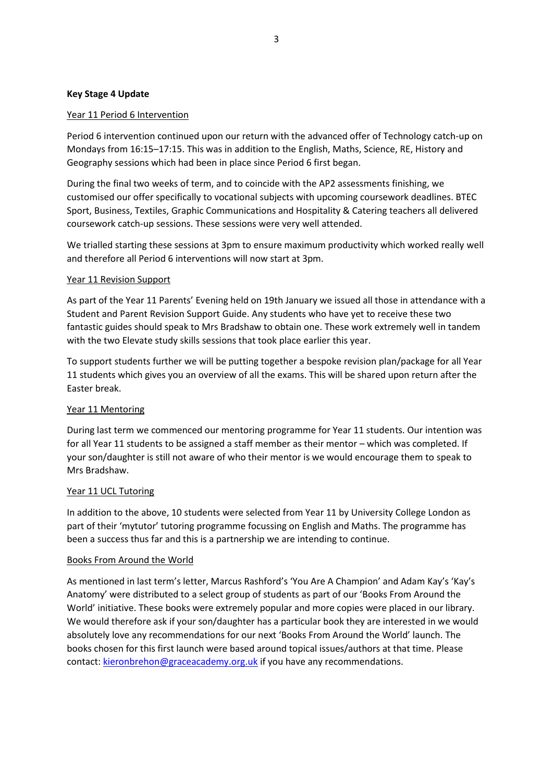### **Key Stage 4 Update**

### Year 11 Period 6 Intervention

Period 6 intervention continued upon our return with the advanced offer of Technology catch-up on Mondays from 16:15–17:15. This was in addition to the English, Maths, Science, RE, History and Geography sessions which had been in place since Period 6 first began.

During the final two weeks of term, and to coincide with the AP2 assessments finishing, we customised our offer specifically to vocational subjects with upcoming coursework deadlines. BTEC Sport, Business, Textiles, Graphic Communications and Hospitality & Catering teachers all delivered coursework catch-up sessions. These sessions were very well attended.

We trialled starting these sessions at 3pm to ensure maximum productivity which worked really well and therefore all Period 6 interventions will now start at 3pm.

### Year 11 Revision Support

As part of the Year 11 Parents' Evening held on 19th January we issued all those in attendance with a Student and Parent Revision Support Guide. Any students who have yet to receive these two fantastic guides should speak to Mrs Bradshaw to obtain one. These work extremely well in tandem with the two Elevate study skills sessions that took place earlier this year.

To support students further we will be putting together a bespoke revision plan/package for all Year 11 students which gives you an overview of all the exams. This will be shared upon return after the Easter break.

# Year 11 Mentoring

During last term we commenced our mentoring programme for Year 11 students. Our intention was for all Year 11 students to be assigned a staff member as their mentor – which was completed. If your son/daughter is still not aware of who their mentor is we would encourage them to speak to Mrs Bradshaw.

#### Year 11 UCL Tutoring

In addition to the above, 10 students were selected from Year 11 by University College London as part of their 'mytutor' tutoring programme focussing on English and Maths. The programme has been a success thus far and this is a partnership we are intending to continue.

#### Books From Around the World

As mentioned in last term's letter, Marcus Rashford's 'You Are A Champion' and Adam Kay's 'Kay's Anatomy' were distributed to a select group of students as part of our 'Books From Around the World' initiative. These books were extremely popular and more copies were placed in our library. We would therefore ask if your son/daughter has a particular book they are interested in we would absolutely love any recommendations for our next 'Books From Around the World' launch. The books chosen for this first launch were based around topical issues/authors at that time. Please contact: [kieronbrehon@graceacademy.org.uk](mailto:kieronbrehon@graceacademy.org.uk) if you have any recommendations.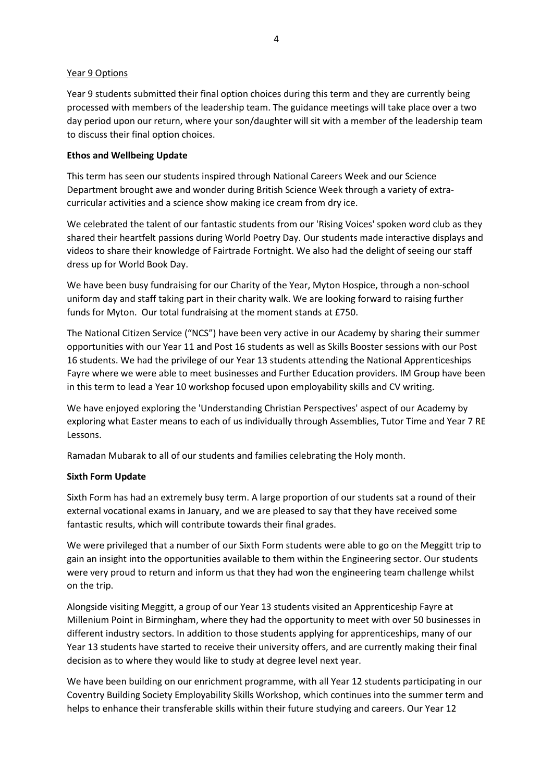# Year 9 Options

Year 9 students submitted their final option choices during this term and they are currently being processed with members of the leadership team. The guidance meetings will take place over a two day period upon our return, where your son/daughter will sit with a member of the leadership team to discuss their final option choices.

## **Ethos and Wellbeing Update**

This term has seen our students inspired through National Careers Week and our Science Department brought awe and wonder during British Science Week through a variety of extracurricular activities and a science show making ice cream from dry ice.

We celebrated the talent of our fantastic students from our 'Rising Voices' spoken word club as they shared their heartfelt passions during World Poetry Day. Our students made interactive displays and videos to share their knowledge of Fairtrade Fortnight. We also had the delight of seeing our staff dress up for World Book Day.

We have been busy fundraising for our Charity of the Year, Myton Hospice, through a non-school uniform day and staff taking part in their charity walk. We are looking forward to raising further funds for Myton. Our total fundraising at the moment stands at £750.

The National Citizen Service ("NCS") have been very active in our Academy by sharing their summer opportunities with our Year 11 and Post 16 students as well as Skills Booster sessions with our Post 16 students. We had the privilege of our Year 13 students attending the National Apprenticeships Fayre where we were able to meet businesses and Further Education providers. IM Group have been in this term to lead a Year 10 workshop focused upon employability skills and CV writing.

We have enjoyed exploring the 'Understanding Christian Perspectives' aspect of our Academy by exploring what Easter means to each of us individually through Assemblies, Tutor Time and Year 7 RE Lessons.

Ramadan Mubarak to all of our students and families celebrating the Holy month.

#### **Sixth Form Update**

Sixth Form has had an extremely busy term. A large proportion of our students sat a round of their external vocational exams in January, and we are pleased to say that they have received some fantastic results, which will contribute towards their final grades.

We were privileged that a number of our Sixth Form students were able to go on the Meggitt trip to gain an insight into the opportunities available to them within the Engineering sector. Our students were very proud to return and inform us that they had won the engineering team challenge whilst on the trip.

Alongside visiting Meggitt, a group of our Year 13 students visited an Apprenticeship Fayre at Millenium Point in Birmingham, where they had the opportunity to meet with over 50 businesses in different industry sectors. In addition to those students applying for apprenticeships, many of our Year 13 students have started to receive their university offers, and are currently making their final decision as to where they would like to study at degree level next year.

We have been building on our enrichment programme, with all Year 12 students participating in our Coventry Building Society Employability Skills Workshop, which continues into the summer term and helps to enhance their transferable skills within their future studying and careers. Our Year 12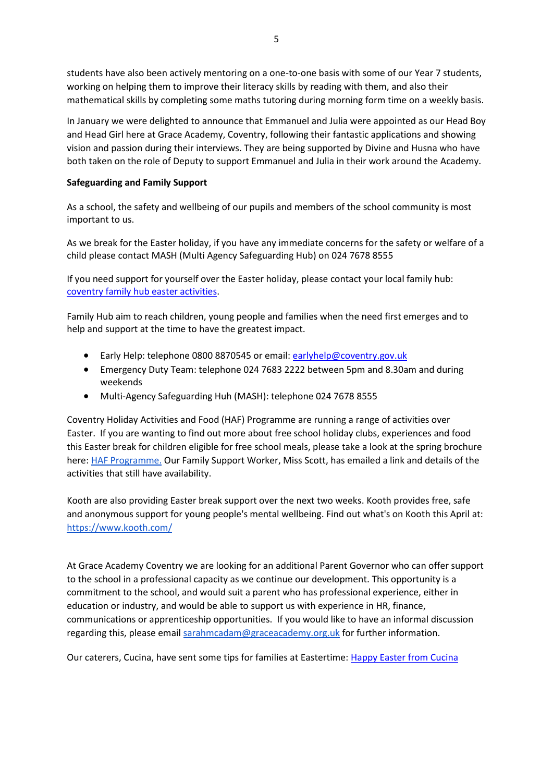students have also been actively mentoring on a one-to-one basis with some of our Year 7 students, working on helping them to improve their literacy skills by reading with them, and also their mathematical skills by completing some maths tutoring during morning form time on a weekly basis.

In January we were delighted to announce that Emmanuel and Julia were appointed as our Head Boy and Head Girl here at Grace Academy, Coventry, following their fantastic applications and showing vision and passion during their interviews. They are being supported by Divine and Husna who have both taken on the role of Deputy to support Emmanuel and Julia in their work around the Academy.

# **Safeguarding and Family Support**

As a school, the safety and wellbeing of our pupils and members of the school community is most important to us.

As we break for the Easter holiday, if you have any immediate concerns for the safety or welfare of a child please contact MASH (Multi Agency Safeguarding Hub) on 024 7678 8555

If you need support for yourself over the Easter holiday, please contact your local family hub: [coventry family hub easter activities.](https://www.healthforteens.co.uk/coventry/easter-activities-in-your-local-family-hub/)

Family Hub aim to reach children, young people and families when the need first emerges and to help and support at the time to have the greatest impact.

- Early Help: telephone 0800 8870545 or email: [earlyhelp@coventry.gov.uk](mailto:earlyhelp@coventry.gov.uk)
- Emergency Duty Team: telephone 024 7683 2222 between 5pm and 8.30am and during weekends
- Multi-Agency Safeguarding Huh (MASH): telephone 024 7678 8555

Coventry Holiday Activities and Food (HAF) Programme are running a range of activities over Easter. If you are wanting to find out more about free school holiday clubs, experiences and food this Easter break for children eligible for free school meals, please take a look at the spring brochure here: **HAF Programme.** Our Family Support Worker, Miss Scott, has emailed a link and details of the activities that still have availability.

Kooth are also providing Easter break support over the next two weeks. Kooth provides free, safe and anonymous support for young people's mental wellbeing. Find out what's on Kooth this April at: [https://www.kooth.com/](https://www.kooth.com/?fbclid=IwAR3U2vpY_k9APAm4XlUHXCOTVnKlsy8-tdfF_gQBbKsQfJen5Ar8cvrPu30)

At Grace Academy Coventry we are looking for an additional Parent Governor who can offer support to the school in a professional capacity as we continue our development. This opportunity is a commitment to the school, and would suit a parent who has professional experience, either in education or industry, and would be able to support us with experience in HR, finance, communications or apprenticeship opportunities. If you would like to have an informal discussion regarding this, please email [sarahmcadam@graceacademy.org.uk](mailto:sarahmcadam@graceacademy.org.uk) for further information.

Our caterers, Cucina, have sent some tips for families at Eastertime[: Happy Easter from Cucina](file://///gacfile01/staffdata$/smcadam/Documents/PRINCIPAL/Happy%20Easter%20-%20Cucina.pdf)